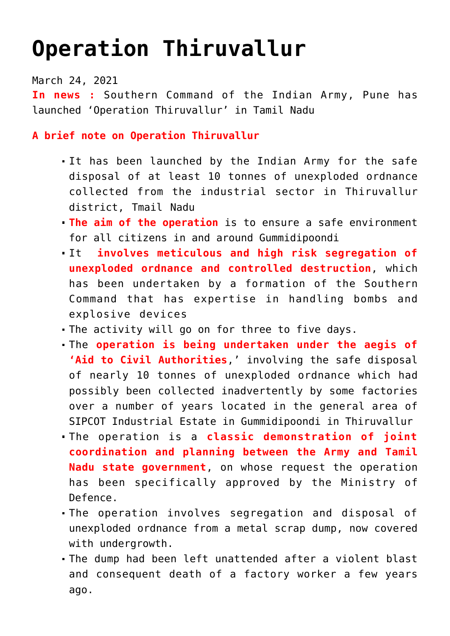## **[Operation Thiruvallur](https://journalsofindia.com/operation-thiruvallur/)**

March 24, 2021

**In news :** Southern Command of the Indian Army, Pune has launched 'Operation Thiruvallur' in Tamil Nadu

**A brief note on Operation Thiruvallur**

- It has been launched by the Indian Army for the safe disposal of at least 10 tonnes of unexploded ordnance collected from the industrial sector in Thiruvallur district, Tmail Nadu
- **The aim of the operation** is to ensure a safe environment for all citizens in and around Gummidipoondi
- It **involves meticulous and high risk segregation of unexploded ordnance and controlled destruction**, which has been undertaken by a formation of the Southern Command that has expertise in handling bombs and explosive devices
- The activity will go on for three to five days.
- The **operation is being undertaken under the aegis of 'Aid to Civil Authorities**,' involving the safe disposal of nearly 10 tonnes of unexploded ordnance which had possibly been collected inadvertently by some factories over a number of years located in the general area of SIPCOT Industrial Estate in Gummidipoondi in Thiruvallur
- The operation is a **classic demonstration of joint coordination and planning between the Army and Tamil Nadu state government**, on whose request the operation has been specifically approved by the Ministry of Defence.
- The operation involves segregation and disposal of unexploded ordnance from a metal scrap dump, now covered with undergrowth.
- The dump had been left unattended after a violent blast and consequent death of a factory worker a few years ago.